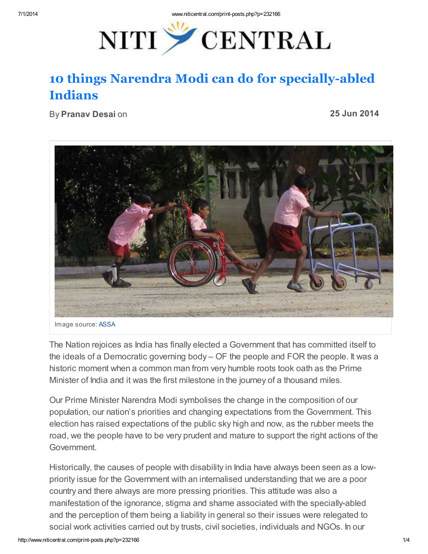

## 10 things Narendra Modi can do for specially-abled Indians

By Pranav Desai on

25 Jun 2014



Image source: [ASSA](http://indiahealthinitiative.blogspot.in/2010/07/welcome-to-assa.html)

The Nation rejoices as India has finally elected a Government that has committed itself to the ideals of a Democratic governing body – OF the people and FOR the people. It was a historic moment when a common man from very humble roots took oath as the Prime Minister of India and it was the first milestone in the journey of a thousand miles.

Our Prime Minister Narendra Modi symbolises the change in the composition of our population, our nation's priorities and changing expectations from the Government. This election has raised expectations of the public sky high and now, as the rubber meets the road, we the people have to be very prudent and mature to support the right actions of the Government.

Historically, the causes of people with disability in India have always been seen as a lowpriority issue for the Government with an internalised understanding that we are a poor country and there always are more pressing priorities. This attitude was also a manifestation of the ignorance, stigma and shame associated with the specially-abled and the perception of them being a liability in general so their issues were relegated to social work activities carried out by trusts, civil societies, individuals and NGOs. In our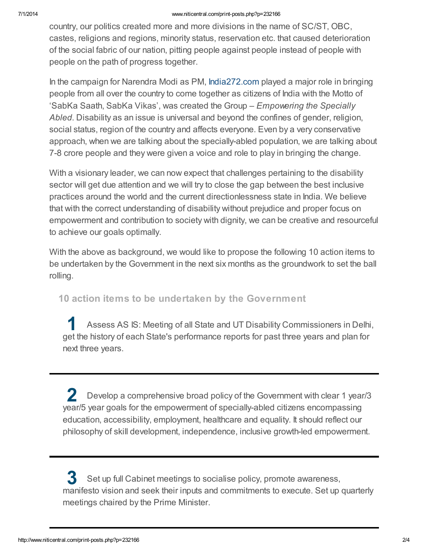country, our politics created more and more divisions in the name of SC/ST, OBC, castes, religions and regions, minority status, reservation etc. that caused deterioration of the social fabric of our nation, pitting people against people instead of people with people on the path of progress together.

In the campaign for Narendra Modi as PM, [India272.com](http://www.india272.com/) played a major role in bringing people from all over the country to come together as citizens of India with the Motto of 'SabKa Saath, SabKa Vikas', was created the Group – Empowering the Specially Abled. Disability as an issue is universal and beyond the confines of gender, religion, social status, region of the country and affects everyone. Even by a very conservative approach, when we are talking about the specially-abled population, we are talking about 7-8 crore people and they were given a voice and role to play in bringing the change.

With a visionary leader, we can now expect that challenges pertaining to the disability sector will get due attention and we will try to close the gap between the best inclusive practices around the world and the current directionlessness state in India. We believe that with the correct understanding of disability without prejudice and proper focus on empowerment and contribution to society with dignity, we can be creative and resourceful to achieve our goals optimally.

With the above as background, we would like to propose the following 10 action items to be undertaken by the Government in the next six months as the groundwork to set the ball rolling.

## 10 action items to be undertaken by the Government

1 Assess AS IS: Meeting of all State and UT Disability Commissioners in Delhi, get the history of each State's performance reports for past three years and plan for next three years.

2 Develop a comprehensive broad policy of the Government with clear 1 year/3 year/5 year goals for the empowerment of specially-abled citizens encompassing education, accessibility, employment, healthcare and equality. It should reflect our philosophy of skill development, independence, inclusive growth-led empowerment.

3 Set up full Cabinet meetings to socialise policy, promote awareness, manifesto vision and seek their inputs and commitments to execute. Set up quarterly meetings chaired by the Prime Minister.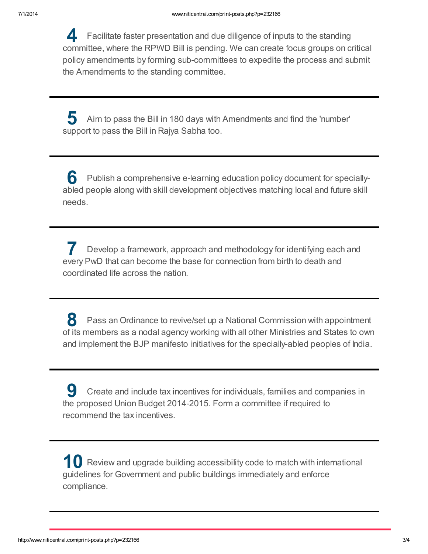4 Facilitate faster presentation and due diligence of inputs to the standing committee, where the RPWD Bill is pending. We can create focus groups on critical policy amendments by forming sub-committees to expedite the process and submit the Amendments to the standing committee.

5 Aim to pass the Bill in 180 days with Amendments and find the 'number' support to pass the Bill in Rajya Sabha too.

6 Publish a comprehensive e-learning education policy document for speciallyabled people along with skill development objectives matching local and future skill needs.

7 Develop a framework, approach and methodology for identifying each and every PwD that can become the base for connection from birth to death and coordinated life across the nation.

8 Pass an Ordinance to revive/set up a National Commission with appointment of its members as a nodal agency working with all other Ministries and States to own and implement the BJP manifesto initiatives for the specially-abled peoples of India.

9 Create and include tax incentives for individuals, families and companies in the proposed Union Budget 2014-2015. Form a committee if required to recommend the tax incentives.

10 Review and upgrade building accessibility code to match with international guidelines for Government and public buildings immediately and enforce compliance.